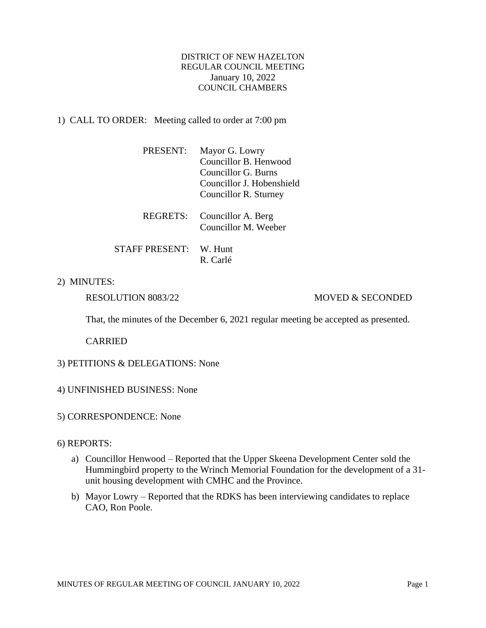# DISTRICT OF NEW HAZELTON REGULAR COUNCIL MEETING January 10, 2022 COUNCIL CHAMBERS

# 1) CALL TO ORDER: Meeting called to order at 7:00 pm

| PRESENT: | Mayor G. Lowry            |
|----------|---------------------------|
|          | Councillor B. Henwood     |
|          | Councillor G. Burns       |
|          | Councillor J. Hobenshield |
|          | Councillor R. Sturney     |

| REGRETS: Councillor A. Berg |
|-----------------------------|
| Councillor M. Weeber        |

STAFF PRESENT: W. Hunt R. Carlé

# 2) MINUTES:

# RESOLUTION 8083/22 MOVED & SECONDED

That, the minutes of the December 6, 2021 regular meeting be accepted as presented.

CARRIED

## 3) PETITIONS & DELEGATIONS: None

- 4) UNFINISHED BUSINESS: None
- 5) CORRESPONDENCE: None

#### 6) REPORTS:

- a) Councillor Henwood Reported that the Upper Skeena Development Center sold the Hummingbird property to the Wrinch Memorial Foundation for the development of a 31 unit housing development with CMHC and the Province.
- b) Mayor Lowry Reported that the RDKS has been interviewing candidates to replace CAO, Ron Poole.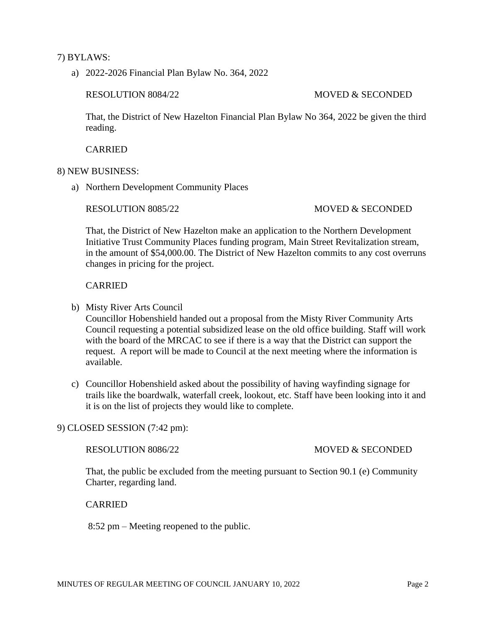## 7) BYLAWS:

a) 2022-2026 Financial Plan Bylaw No. 364, 2022

#### RESOLUTION 8084/22 MOVED & SECONDED

That, the District of New Hazelton Financial Plan Bylaw No 364, 2022 be given the third reading.

CARRIED

#### 8) NEW BUSINESS:

a) Northern Development Community Places

### RESOLUTION 8085/22 MOVED & SECONDED

That, the District of New Hazelton make an application to the Northern Development Initiative Trust Community Places funding program, Main Street Revitalization stream, in the amount of \$54,000.00. The District of New Hazelton commits to any cost overruns changes in pricing for the project.

### CARRIED

b) Misty River Arts Council

Councillor Hobenshield handed out a proposal from the Misty River Community Arts Council requesting a potential subsidized lease on the old office building. Staff will work with the board of the MRCAC to see if there is a way that the District can support the request. A report will be made to Council at the next meeting where the information is available.

c) Councillor Hobenshield asked about the possibility of having wayfinding signage for trails like the boardwalk, waterfall creek, lookout, etc. Staff have been looking into it and it is on the list of projects they would like to complete.

# 9) CLOSED SESSION (7:42 pm):

RESOLUTION 8086/22 MOVED & SECONDED

That, the public be excluded from the meeting pursuant to Section 90.1 (e) Community Charter, regarding land.

CARRIED

8:52 pm – Meeting reopened to the public.